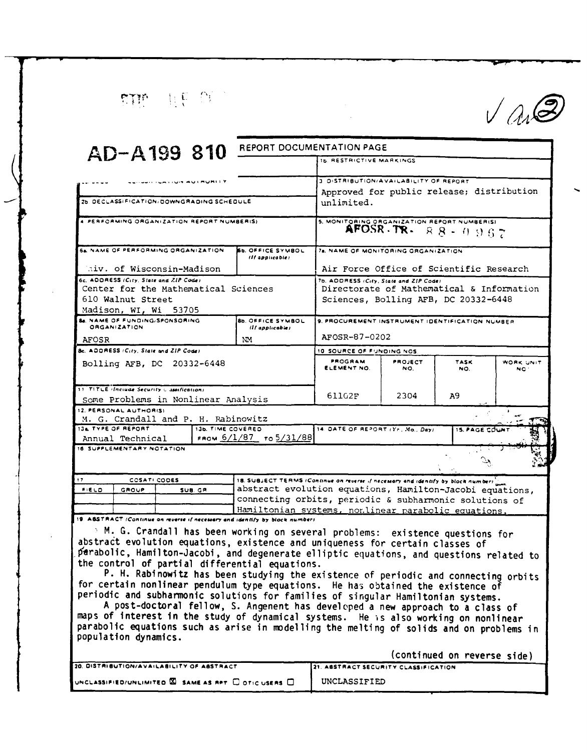FTP HE OF

 $V$ an $\circledS$ 

| AD-A199 810                                                                                                                                                                                                                                                                                                                                                                                                                                                                                                                                                                                                                                                                                                                                                                                                                                                                | REPORT DOCUMENTATION PAGE                   |                                                                                                               |                |                             |                  |  |
|----------------------------------------------------------------------------------------------------------------------------------------------------------------------------------------------------------------------------------------------------------------------------------------------------------------------------------------------------------------------------------------------------------------------------------------------------------------------------------------------------------------------------------------------------------------------------------------------------------------------------------------------------------------------------------------------------------------------------------------------------------------------------------------------------------------------------------------------------------------------------|---------------------------------------------|---------------------------------------------------------------------------------------------------------------|----------------|-----------------------------|------------------|--|
|                                                                                                                                                                                                                                                                                                                                                                                                                                                                                                                                                                                                                                                                                                                                                                                                                                                                            |                                             | IS RESTRICTIVE MARKINGS                                                                                       |                |                             |                  |  |
|                                                                                                                                                                                                                                                                                                                                                                                                                                                                                                                                                                                                                                                                                                                                                                                                                                                                            |                                             | 3 DISTRIBUTION/AVAILABILITY OF REPORT                                                                         |                |                             |                  |  |
|                                                                                                                                                                                                                                                                                                                                                                                                                                                                                                                                                                                                                                                                                                                                                                                                                                                                            |                                             | Approved for public release; distribution                                                                     |                |                             |                  |  |
| 26. DECLASSIFICATION/DOWNGRADING SCHEDULE                                                                                                                                                                                                                                                                                                                                                                                                                                                                                                                                                                                                                                                                                                                                                                                                                                  |                                             | unlimited.                                                                                                    |                |                             |                  |  |
| 4 PERFORMING ORGANIZATION REPORT NUMBERIS)                                                                                                                                                                                                                                                                                                                                                                                                                                                                                                                                                                                                                                                                                                                                                                                                                                 |                                             | 5. MONITORING ORGANIZATION REPORT NUMBER(S)<br>AFOSR $-TR - R - R - 0.967$                                    |                |                             |                  |  |
| 64 NAME OF PERFORMING ORGANIZATION<br><b>65. OFFICE SYMBOL</b><br>(If applicable)                                                                                                                                                                                                                                                                                                                                                                                                                                                                                                                                                                                                                                                                                                                                                                                          |                                             | 7a. NAME OF MONITORING ORGANIZATION                                                                           |                |                             |                  |  |
| hiv. of Wisconsin-Madison                                                                                                                                                                                                                                                                                                                                                                                                                                                                                                                                                                                                                                                                                                                                                                                                                                                  |                                             | Air Force Office of Scientific Research                                                                       |                |                             |                  |  |
| 6c. ADDRESS (City, State and ZIP Code)<br>Center for the Mathematical Sciences                                                                                                                                                                                                                                                                                                                                                                                                                                                                                                                                                                                                                                                                                                                                                                                             |                                             | 7b. ADDRESS (City, State and ZIP Code)<br>Directorate of Mathematical & Information                           |                |                             |                  |  |
| 610 Walnut Street                                                                                                                                                                                                                                                                                                                                                                                                                                                                                                                                                                                                                                                                                                                                                                                                                                                          | Sciences, Bolling AFB, DC 20332-6448        |                                                                                                               |                |                             |                  |  |
| Madison, WI, Wi 53705                                                                                                                                                                                                                                                                                                                                                                                                                                                                                                                                                                                                                                                                                                                                                                                                                                                      |                                             |                                                                                                               |                |                             |                  |  |
| <b>Se. NAME OF FUNDING/SPONSORING</b><br>ORGANIZATION                                                                                                                                                                                                                                                                                                                                                                                                                                                                                                                                                                                                                                                                                                                                                                                                                      | <b>8b. OFFICE SYMBOL</b><br>(If applicable) | 9. PROCUREMENT INSTRUMENT IDENTIFICATION NUMBER                                                               |                |                             |                  |  |
| <b>AFOSR</b>                                                                                                                                                                                                                                                                                                                                                                                                                                                                                                                                                                                                                                                                                                                                                                                                                                                               | NM.                                         | AFOSR-87-0202                                                                                                 |                |                             |                  |  |
| 8c. ADDRESS (City, State and ZIP Code)                                                                                                                                                                                                                                                                                                                                                                                                                                                                                                                                                                                                                                                                                                                                                                                                                                     |                                             | 10 SOURCE OF FUNDING NOS.                                                                                     |                |                             |                  |  |
| Bolling AFB, DC 20332-6448                                                                                                                                                                                                                                                                                                                                                                                                                                                                                                                                                                                                                                                                                                                                                                                                                                                 |                                             | <b>PROGRAM</b><br>ELEMENT NO.                                                                                 | PROJECT<br>NO. | <b>TASK</b><br>NO.          | WORK UNIT<br>NO. |  |
| 11 TITLE (Include Security C assification)<br>Some Problems in Nonlinear Analysis                                                                                                                                                                                                                                                                                                                                                                                                                                                                                                                                                                                                                                                                                                                                                                                          |                                             | 61102F                                                                                                        | 2304           | А9                          |                  |  |
| 12. PERSONAL AUTHOR(S)                                                                                                                                                                                                                                                                                                                                                                                                                                                                                                                                                                                                                                                                                                                                                                                                                                                     |                                             |                                                                                                               |                |                             |                  |  |
| M. G. Crandall and P. H. Rabinowitz                                                                                                                                                                                                                                                                                                                                                                                                                                                                                                                                                                                                                                                                                                                                                                                                                                        |                                             |                                                                                                               |                |                             |                  |  |
| 134 TYPE OF REPORT<br>13b. TIME COVERED<br>Annual Technical                                                                                                                                                                                                                                                                                                                                                                                                                                                                                                                                                                                                                                                                                                                                                                                                                | FROM $6/1/87$ To $5/31/88$                  | 14. OATE OF REPORT (Yr., Mo., Day)                                                                            |                | <b>15. PAGE COUN</b>        |                  |  |
| 16. SUPPLEMENTARY NOTATION                                                                                                                                                                                                                                                                                                                                                                                                                                                                                                                                                                                                                                                                                                                                                                                                                                                 |                                             |                                                                                                               |                |                             |                  |  |
|                                                                                                                                                                                                                                                                                                                                                                                                                                                                                                                                                                                                                                                                                                                                                                                                                                                                            |                                             |                                                                                                               |                |                             |                  |  |
| 17<br>COSATI CODES                                                                                                                                                                                                                                                                                                                                                                                                                                                                                                                                                                                                                                                                                                                                                                                                                                                         |                                             | 18. SUBJECT TERMS (Continue on reverse if necessary and identify by block numbers $\frac{b}{\log\alpha}$      |                |                             |                  |  |
| $F(E \cup O)$<br>GROUP<br>SUB. GR.                                                                                                                                                                                                                                                                                                                                                                                                                                                                                                                                                                                                                                                                                                                                                                                                                                         |                                             | abstract evolution equations, Hamilton-Jacobi equations,                                                      |                |                             |                  |  |
|                                                                                                                                                                                                                                                                                                                                                                                                                                                                                                                                                                                                                                                                                                                                                                                                                                                                            |                                             | connecting orbits, periodic & subharmonic solutions of<br>Hamiltonian systems, nonlinear parabolic equations. |                |                             |                  |  |
| 19. ABSTRACT (Continue on reverse if necessary and identify by block number)                                                                                                                                                                                                                                                                                                                                                                                                                                                                                                                                                                                                                                                                                                                                                                                               |                                             |                                                                                                               |                |                             |                  |  |
| $\geq$ M. G. Crandall has been working on several problems: existence questions for<br>abstract evolution equations, existence and uniqueness for certain classes of<br>parabolic, Hamilton-Jacobi, and degenerate elliptic equations, and questions related to<br>the control of partial differential equations.<br>P. H. Rabinowitz has been studying the existence of periodic and connecting orbits<br>for certain nonlinear pendulum type equations. He has obtained the existence of<br>periodic and subharmonic solutions for families of singular Hamiltonian systems.<br>A post-doctoral fellow, S. Angenent has developed a new approach to a class of<br>maps of interest in the study of dynamical systems. He is also working on nonlinear<br>parabolic equations such as arise in modelling the melting of solids and on problems in<br>population dynamics. |                                             |                                                                                                               |                | (continued on reverse side) |                  |  |
| 20. OISTRIBUTION/AVAILABILITY OF ABSTRACT                                                                                                                                                                                                                                                                                                                                                                                                                                                                                                                                                                                                                                                                                                                                                                                                                                  |                                             | 21. ABSTRACT SECURITY CLASSIFICATION                                                                          |                |                             |                  |  |
| UNCLASSIFIED/UNLIMITED <b>EX</b> SAME AS RPT <b>COTIC USERS</b> C                                                                                                                                                                                                                                                                                                                                                                                                                                                                                                                                                                                                                                                                                                                                                                                                          |                                             |                                                                                                               | UNCLASSIFIED   |                             |                  |  |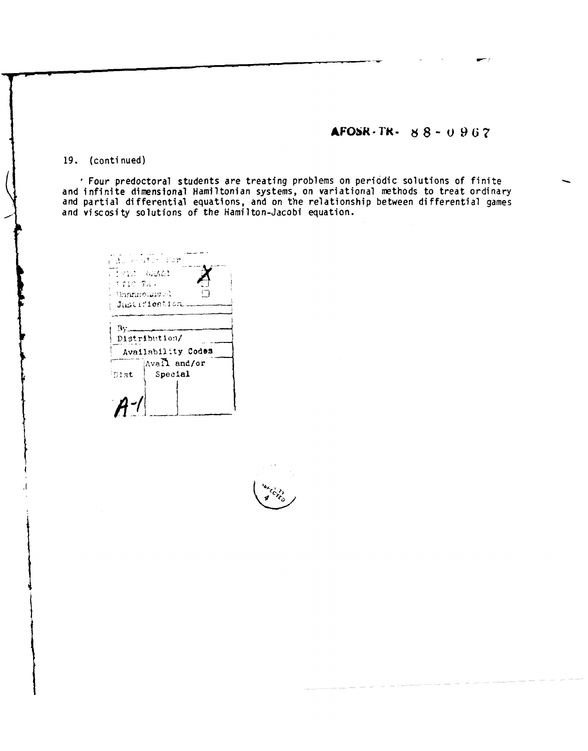## AFOSR-TR-  $88 - 0.967$

19. (continued)

' Four predoctoral students are treating problems on periodic solutions of finite<br>and infinite dimensional Hamiltonian systems, on variational methods to treat ordinary and partial differential equations, and on the relationship between differential games and viscosity solutions of the Hamilton-Jacobi equation.

 $\mathbb{Z}$  , and  $\mathbb{Z}$  . For Beni GRAAI **TIME TAP** ់ ()ក្រុមឈ្នះការក្រុម ( Justifieation.  $Bv$ Distribution/ Availability Codes Avall and/or Special Dist.  $A -$ 

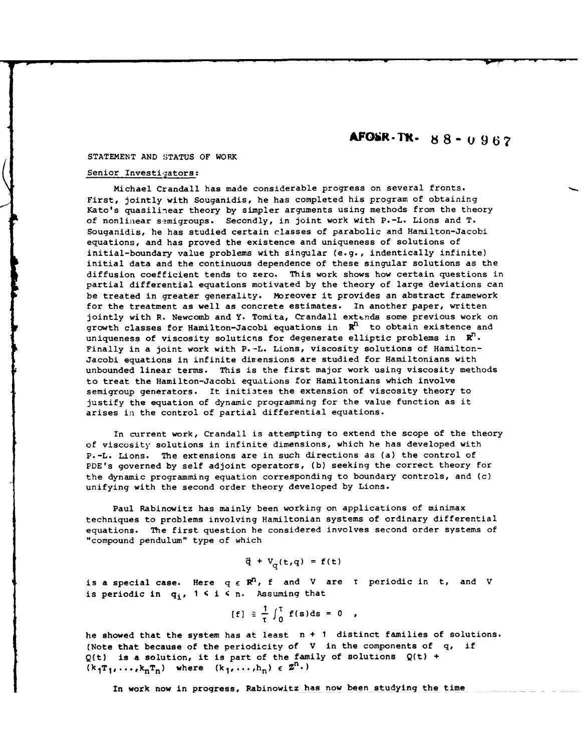# **AFObR-Tf. 88-0 967**

### STATEMENT **AND STATUS** OF WORK

### Senior Investigators:

Michael Crandall has made considerable progress on several fronts. First, jointly with Souganidis, he has completed his program of obtaining Kato's quasilinear theory by simpler arguments using methods from the theory of nonlinear semigroups. Secondly, in joint work with P.-L. Lions and T. Souganidis, he has studied certain classes of parabolic and Hamilton-Jacobi equations, and has proved the existence and uniqueness of solutions of initial-boundary value problems with singular (e.g., indentically infinite) initial data and the continuous dependence of these singular solutions as the diffusion coefficient tends to zero. This work shows how certain questions in partial differential equations motivated by the theory of large deviations can be treated in greater generality. Moreover it provides an abstract framework for the treatment as well as concrete estimates. In another paper, written jointly with R. Newcomb and Y. Tomita, Crandall extends some previous work on growth classes for Hamilton-Jacobi equations in  $\mathbb{R}^n$  to obtain existence and uniqueness of viscosity solutions for degenerate elliptic problems in  $\mathbb{R}^n$ . Finally in a joint work with P.-L. Lions, viscosity solutions of Hamilton-Jacobi equations in infinite dimensions are studied for Hamiltonians with unbounded linear terms. This is the first major work using viscosity methods to treat the Hamilton-Jacobi equations for Hamiltonians which involve semigroup generators. It initiates the extension of viscosity theory to justify the equation of dynamic programming for the value function as it arises in the control of partial differential equations.

In current work, Crandall is attempting to extend the scope of the theory of viscosity solutions in infinite dimensions, which he has developed with P.-L. Lions. The extensions are in such directions as (a) the control of PDE's governed by self adjoint operators, (b) seeking the correct theory for the dynamic programming equation corresponding to boundary controls, and (c) unifying with the second order theory developed by Lions.

Paul Rabinowitz has mainly been working on applications of minimax techniques to problems involving Hamiltonian systems of ordinary differential equations. The first question he considered involves second order systems of "compound pendulum" type of which

$$
\ddot{q} + V_{\alpha}(t,q) = f(t)
$$

is a special case. Here  $q \in \mathbb{R}^n$ , f and V are  $\tau$  periodic in  $t$ , and V is periodic in  $q_i$ ,  $1 \le i \le n$ . Assuming that

$$
[f] \equiv \frac{1}{\tau} \int_0^{\tau} f(s) ds = 0 ,
$$

he showed that the system has at least n + **1** distinct families of solutions. (Note that because of the periodicity of V in the components of q, if  $Q(t)$  is a solution, it is part of the family of solutions  $Q(t)$  +  $(k_1T_1,\ldots,k_nT_n)$  where  $(k_1,\ldots,h_n) \in \mathbb{Z}^n$ .)

In work now in progress, Rabinowitz has now been studying the time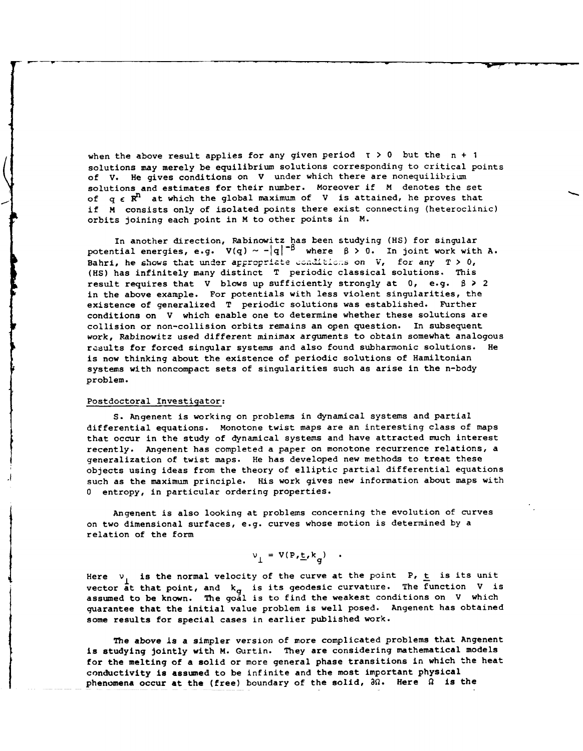when the above result applies for any given period  $\tau > 0$  but the  $n + 1$ solutions may merely be equilibrium solutions corresponding to critical points of V. He gives conditions on V under which there are nonequilibrium solutions and estimates for their number. Moreover if M denotes the set of  $q \in R^R$  at which the global maximum of V is attained, he proves that if M consists only of isolated points there exist connecting (heteroclinic) orbits joining each point in M to other points in M.

In another direction, Rabinowitz has been studying (HS) for singular potential energies, e.g.  $V(q) \sim -|q|^{-\beta}$  where  $\beta > 0$ . In joint work with A. Bahri, he shows that under appropriate conditions on **V**, for any T > 0, **(HS)** has infinitely many distinct T periodic classical solutions. This result requires that V blows up sufficiently strongly at 0, e.g. **\$ >** 2 in the above example. For potentials with less violent singularities, the existence of generalized T periodic solutions was established. Further conditions on V which enable one to determine whether these solutions are collision or non-collision orbits remains an open question. In subsequent work, Rabinowitz used different minimax arguments to obtain somewhat analogous results for forced singular systems and also found subharmonic solutions. He is now thinking about the existence of periodic solutions of Hamiltonian systems with noncompact sets of singularities such as arise in the n-body problem.

#### Postdoctoral Investigator:

S. Angenent is working on problems in dynamical systems and partial differential equations. Monotone twist maps are an interesting class of maps that occur in the study of dynamical systems and have attracted much interest recently. Angenent has completed a paper on monotone recurrence relations, a generalization of twist maps. He has developed new methods to treat these objects using ideas from the theory of elliptic partial differential equations such as the maximum principle. His work gives new information about maps with **0** entropy, in particular ordering properties.

Angenent is also looking at problems concerning the evolution of curves on two dimensional surfaces, e.g. curves whose motion is determined by a relation of the form

$$
v_{\perp} = V(P, E, k_{\sigma}) \quad .
$$

Here  $v_1$  is the normal velocity of the curve at the point P,  $\underline{t}$  is its unit vector at that point, and  $k_g$  is its geodesic curvature. The function V is assumed to be known. The goal is to find the weakest conditions on V which guarantee that the initial value problem is well posed. Angenent has obtained some results for special cases in earlier published work.

The above is a simpler version of more complicated problems that Angenent is studying jointly with M. Gurtin. They are considering mathematical models for the melting of a solid or more general phase transitions in which the heat conductivity is assumed to be infinite and the most important physical phenomena occur at the (free) boundary of the solid, **30.** Here **9** is the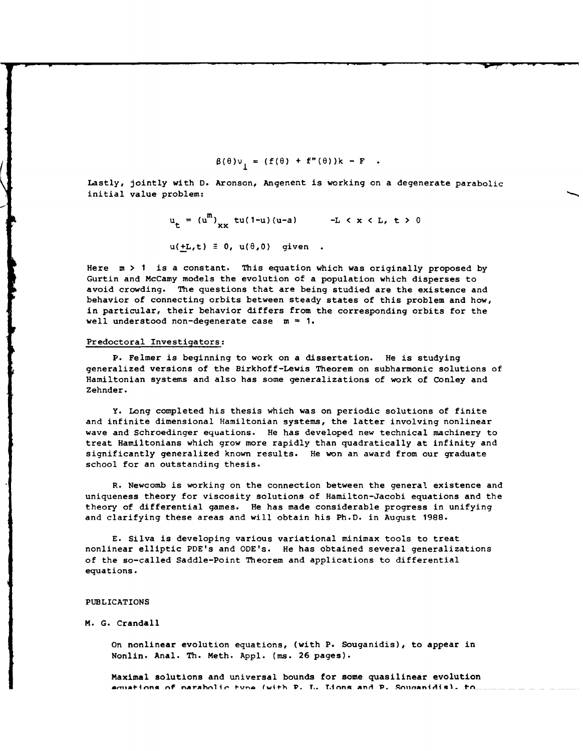$$
\beta(\theta)v_{\parallel} = (f(\theta) + f''(\theta))k - F
$$

Lastly, jointly with D. Aronson, Angenent is working on a degenerate parabolic initial value problem:

$$
u_{t} = (u^{m})_{xx} tu(1-u)(u-a) -L < x < L, t > 0
$$
  
u(±L,t)  $\equiv 0$ , u(0,0) given.

Here m > **I** is a constant. This equation which was originally proposed by Gurtin and McCamy models the evolution of a population which disperses to avoid crowding. The questions that are being studied are the existence and behavior of connecting orbits between steady states of this problem and how, in particular, their behavior differs from the corresponding orbits for the well understood non-degenerate case  $m = 1$ .

#### Predoctoral Investigators:

P. Felmer is beginning to work on a dissertation. He is studying generalized versions of the Birkhoff-Lewis Theorem on subharmonic solutions of Hamiltonian systems and also has some generalizations of work of Conley and Zehnder.

Y. Long completed his thesis which was on periodic solutions of finite and infinite dimensional Hamiltonian systems, the latter involving nonlinear wave and Schroedinger equations. He has developed new technical machinery to treat Hamiltonians which grow more rapidly than quadratically at infinity and significantly generalized known results. He won an award from our graduate school for an outstanding thesis.

R. Newcomb is working on the connection between the general existence and uniqueness theory for viscosity solutions of Hamilton-Jacobi equations and the theory of differential games. He has made considerable progress in unifying and clarifying these areas and will obtain his Ph.D. in August 1988.

E. Silva is developing various variational minimax tools to treat nonlinear elliptic PDE's and ODE's. He has obtained several generalizations of the so-called Saddle-Point Theorem and applications to differential equations.

#### PUBLICATIONS

#### M. G. Crandall

On nonlinear evolution equations, (with P. Souganidis), to appear in Nonlin. Anal. Th. Meth. Appl. (ms. 26 pages).

Maximal solutions and universal bounds for some quasilinear evolution **an4inna nf n~rAhnliem I)-Un ll4h V.** *T..* **T.inna AnA D\_ AmiinAn4ial- trn**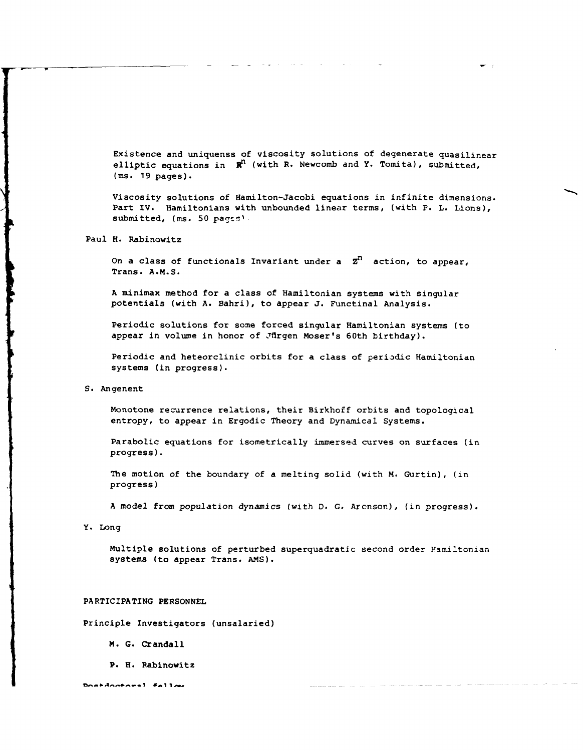Existence and uniquenss of viscosity solutions of degenerate quasilinear elliptic equations in  $\mathbb{R}^n$  (with R. Newcomb and Y. Tomita), submitted, (ms. 19 pages).

Viscosity solutions of Hamilton-Jacobi equations in infinite dimensions. Part IV. Hamiltonians with unbounded linear terms, (with P. L. Lions), submitted, (ms. 50 pages).

Paul H. Rabinowitz

On a class of functionals Invariant under a **Zn** action, to appear, Trans. **A.M.S.**

**A** minimax method for a class of Hamiltonian systems with singular potentials (with **A.** Bahri), to appear **J.** Functinal Analysis.

Periodic solutions for some forced singular Hamiltonian systems (to appear in volume in honor of Jfirgen Moser's 60th birthday).

Periodic and heteorclinic orbits for a class of periodic Hamiltonian systems (in progress).

**S.** Angenent

Monotone recurrence relations, their Birkhoff orbits and topological entropy, to appear in Ergodic Theory and Dynamical Systems.

Parabolic equations for isometrically immersed curves on surfaces (in progress).

The motion of the boundary of a melting solid (with M. Gurtin), (in progress)

A model from population dynamics (with D. **G.** Arcnson), (in progress).

Y. Long

Multiple solutions of perturbed superquadratic second order Familtonian systems (to appear Trans. **AMS).**

#### PARTICIPATING **PERSONNEL**

Principle Investigators (unsalaried)

M. **G.** Crandall

P. H. Rabinowitz

Doctdoctoral faller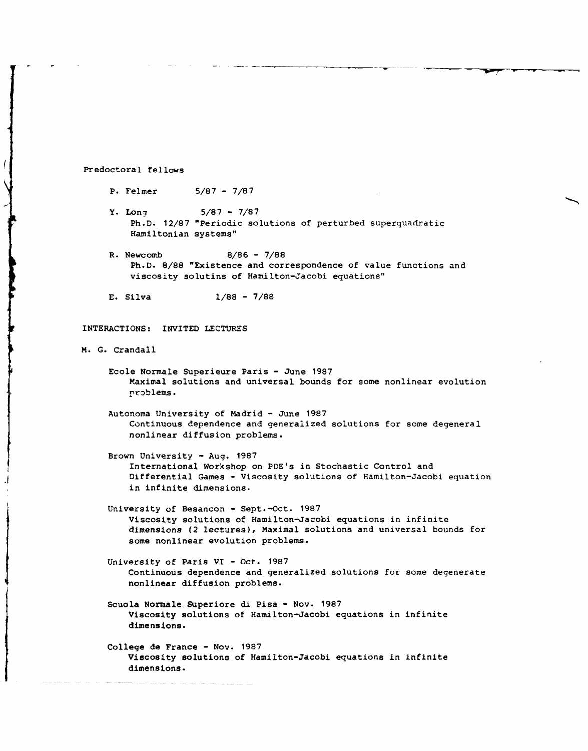Predoctoral fellows

 $\prime$ 

- P. Felmer 5/87 7/87
- Y. Long  $5/87 7/87$ Ph.D. 12/87 "Periodic solutions of perturbed superquadratic Hamiltonian systems"
- R. Newcomb 8/86 7/88 Ph.D. 8/88 "Existence and correspondence of value functions and viscosity solutins of Hamilton-Jacobi equations"
- E. Silva 1/88 7/88

INTERACTIONS: INVITED LECTURES

M. G. Crandall

- Ecole Normale Superieure Paris June 1987 Maximal solutions and universal bounds for some nonlinear evolution problems.
- Autonoma University of Madrid June 1987 Continuous dependence and generalized solutions for some degeneral nonlinear diffusion problems.
- Brown University Aug. 1987 International Workshop on PDE's in Stochastic Control and Differential Games - Viscosity solutions of Hamilton-Jacobi equation in infinite dimensions.
- University of Besancon Sept.-Oct. 1987 Viscosity solutions of Hamilton-Jacobi equations in infinite dimensions (2 lectures), Maximal solutions and universal bounds for some nonlinear evolution problems.
- University of Paris VI Oct. 1987 Continuous dependence and generalized solutions for some degenerate nonlinear diffusion problems.
- Scuola Normale Superiore di Pisa Nov. 1987 Viscosity solutions of Hamilton-Jacobi equations in infinite dimensions.
- College de France Nov. 1987 Viscosity solutions of Hamilton-Jacobi equations in infinite dimensions.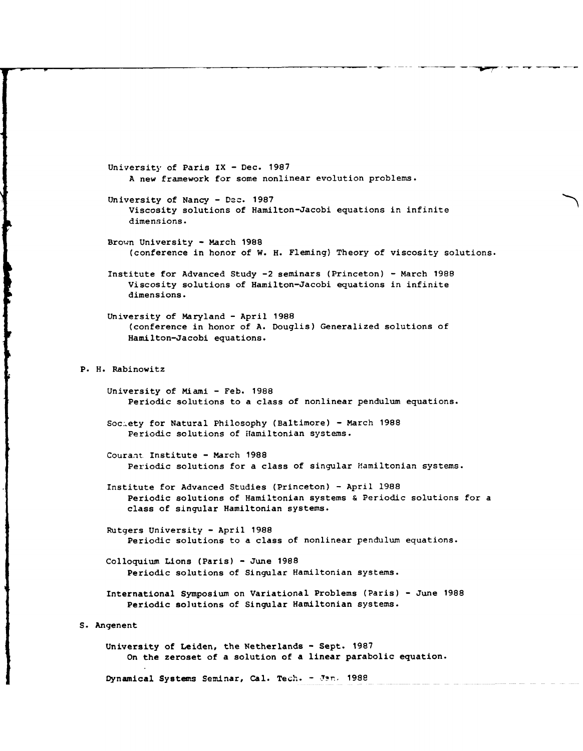University of Paris IX **-** Dec. 1987 A new framework for some nonlinear evolution problems. University of Nancy - Dec. 1987 Viscosity solutions of Hamilton-Jacobi equations in infinite dimensions. Brown University - March 1988 (conference in honor of W. H. Fleming) Theory of viscosity solutions. Institute for Advanced Study -2 seminars (Princeton) - March 1988 Viscosity solutions of Hamilton-Jacobi equations in infinite dimensions. University of Maryland - April 1988 (conference in honor of A. Douglis) Generalized solutions of Hamilton-Jacobi equations. P. H. Rabinowitz University of Miami - Feb. 1988 Periodic solutions to a class of nonlinear pendulum equations. Soc:.ety for Natural Philosophy (Baltimore) - March 1988 Periodic solutions of Hamiltonian systems. Courant. Institute - March 1988 Periodic solutions for a class of singular Hamiltonian systems. Institute for Advanced Studies (Princeton) - April 1988 Periodic solutions of Hamiltonian systems & Periodic solutions for a class of singular Hamiltonian systems. Rutgers University - April 1988 Periodic solutions to a class of nonlinear pendulum equations. Colloquium Lions (Paris) - June 1988 Periodic solutions of Singular Hamiltonian systems. International Symposium on Variational Problems (Paris) - June 1988 Periodic solutions of Singular Hamiltonian systems. S. Angenent University of Leiden, the Netherlands - Sept. 1987 On the zeroset of a solution of a linear parabolic equation. Dynamical Systems Seminar, Cal. Tech. - Jan. 1988